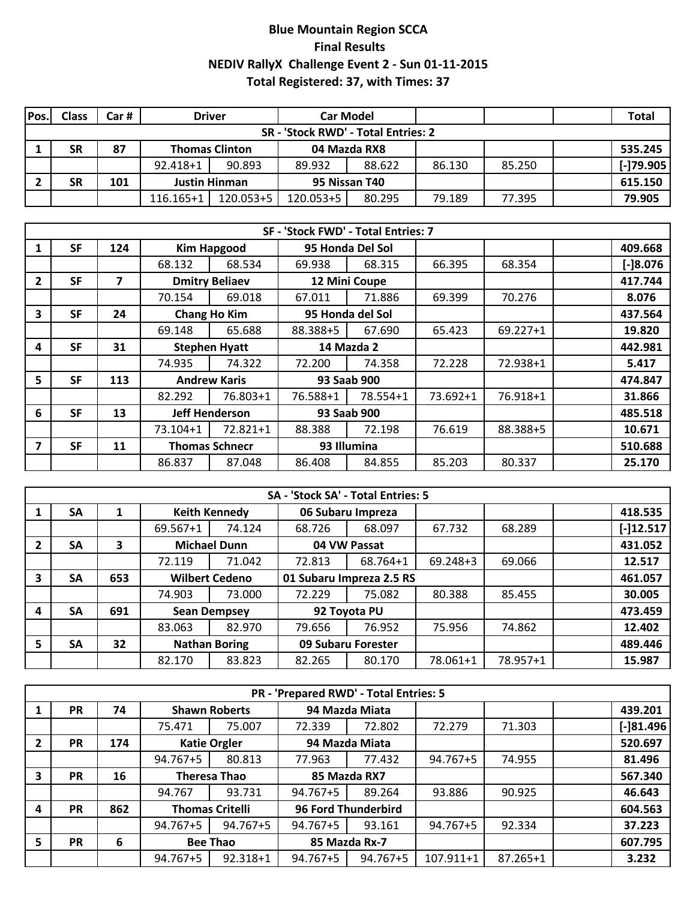## **Blue Mountain Region SCCA Final Results NEDIV RallyX Challenge Event 2 - Sun 01-11-2015 Total Registered: 37, with Times: 37**

| Pos.                                | Class | Car # | <b>Driver</b>         |           | <b>Car Model</b> |              |        |        |  | <b>Total</b>    |  |  |  |
|-------------------------------------|-------|-------|-----------------------|-----------|------------------|--------------|--------|--------|--|-----------------|--|--|--|
| SR - 'Stock RWD' - Total Entries: 2 |       |       |                       |           |                  |              |        |        |  |                 |  |  |  |
|                                     | SR    | 87    | <b>Thomas Clinton</b> |           |                  | 04 Mazda RX8 |        |        |  | 535.245         |  |  |  |
|                                     |       |       | 92.418+1              | 90.893    | 89.932           | 88.622       | 86.130 | 85.250 |  | $[ - 179.905 ]$ |  |  |  |
|                                     | SR    | 101   | <b>Justin Hinman</b>  |           | 95 Nissan T40    |              |        |        |  | 615.150         |  |  |  |
|                                     |       |       | 116.165+1             | 120.053+5 | 120.053+5        | 80.295       | 79.189 | 77.395 |  | 79.905          |  |  |  |

|                |           |     |          |                       | SF - 'Stock FWD' - Total Entries: 7 |                  |          |              |            |
|----------------|-----------|-----|----------|-----------------------|-------------------------------------|------------------|----------|--------------|------------|
|                | <b>SF</b> | 124 |          | <b>Kim Hapgood</b>    |                                     | 95 Honda Del Sol |          |              | 409.668    |
|                |           |     | 68.132   | 68.534                | 69.938                              | 68.315           | 66.395   | 68.354       | $[-]8.076$ |
| $\overline{2}$ | <b>SF</b> | 7   |          | <b>Dmitry Beliaev</b> |                                     | 12 Mini Coupe    |          |              | 417.744    |
|                |           |     | 70.154   | 69.018                | 67.011                              | 71.886           | 69.399   | 70.276       | 8.076      |
| 3              | <b>SF</b> | 24  |          | <b>Chang Ho Kim</b>   |                                     | 95 Honda del Sol |          |              | 437.564    |
|                |           |     | 69.148   | 65.688                | 88.388+5                            | 67.690           | 65.423   | $69.227 + 1$ | 19.820     |
| 4              | <b>SF</b> | 31  |          | <b>Stephen Hyatt</b>  | 14 Mazda 2                          |                  |          |              | 442.981    |
|                |           |     | 74.935   | 74.322                | 72.200                              | 74.358           | 72.228   | 72.938+1     | 5.417      |
| 5              | <b>SF</b> | 113 |          | <b>Andrew Karis</b>   |                                     | 93 Saab 900      |          |              | 474.847    |
|                |           |     | 82.292   | 76.803+1              | 76.588+1                            | 78.554+1         | 73.692+1 | 76.918+1     | 31.866     |
| 6              | <b>SF</b> | 13  |          | <b>Jeff Henderson</b> |                                     | 93 Saab 900      |          |              | 485.518    |
|                |           |     | 73.104+1 | 72.821+1              | 88.388                              | 72.198           | 76.619   | 88.388+5     | 10.671     |
|                | <b>SF</b> | 11  |          | <b>Thomas Schnecr</b> | 93 Illumina                         |                  |          |              | 510.688    |
|                |           |     | 86.837   | 87.048                | 86.408                              | 84.855           | 85.203   | 80.337       | 25.170     |

|                | SA - 'Stock SA' - Total Entries: 5 |     |                       |                                            |                          |                   |              |          |             |  |  |  |  |  |  |
|----------------|------------------------------------|-----|-----------------------|--------------------------------------------|--------------------------|-------------------|--------------|----------|-------------|--|--|--|--|--|--|
|                | <b>SA</b>                          |     |                       | <b>Keith Kennedy</b>                       |                          | 06 Subaru Impreza |              |          | 418.535     |  |  |  |  |  |  |
|                |                                    |     | 69.567+1              | 74.124                                     | 68.726                   | 68.097            | 67.732       | 68.289   | $[-]12.517$ |  |  |  |  |  |  |
| $\overline{2}$ | <b>SA</b>                          | 3   |                       | <b>Michael Dunn</b>                        |                          | 04 VW Passat      |              |          | 431.052     |  |  |  |  |  |  |
|                |                                    |     | 72.119                | 71.042                                     | 72.813                   | 68.764+1          | $69.248 + 3$ | 69.066   | 12.517      |  |  |  |  |  |  |
| 3              | <b>SA</b>                          | 653 | <b>Wilbert Cedeno</b> |                                            | 01 Subaru Impreza 2.5 RS |                   |              |          | 461.057     |  |  |  |  |  |  |
|                |                                    |     | 74.903                | 73.000                                     | 72.229                   | 75.082            | 80.388       | 85.455   | 30.005      |  |  |  |  |  |  |
| 4              | <b>SA</b>                          | 691 |                       | <b>Sean Dempsey</b>                        |                          | 92 Toyota PU      |              |          | 473.459     |  |  |  |  |  |  |
|                |                                    |     | 83.063                | 82.970                                     | 79.656                   | 76.952            | 75.956       | 74.862   | 12.402      |  |  |  |  |  |  |
| -5             | SA                                 | 32  |                       | 09 Subaru Forester<br><b>Nathan Boring</b> |                          |                   |              |          | 489.446     |  |  |  |  |  |  |
|                |                                    |     | 82.170                | 83.823                                     | 82.265                   | 80.170            | 78.061+1     | 78.957+1 | 15.987      |  |  |  |  |  |  |

|                | PR - 'Prepared RWD' - Total Entries: 5 |     |                     |                        |               |                     |           |              |  |              |  |  |  |  |
|----------------|----------------------------------------|-----|---------------------|------------------------|---------------|---------------------|-----------|--------------|--|--------------|--|--|--|--|
|                | <b>PR</b>                              | 74  |                     | <b>Shawn Roberts</b>   |               | 94 Mazda Miata      |           |              |  | 439.201      |  |  |  |  |
|                |                                        |     | 75.471              | 75.007                 | 72.339        | 72.802              | 72.279    | 71.303       |  | $[-]81.496]$ |  |  |  |  |
| $\overline{2}$ | <b>PR</b>                              | 174 |                     | <b>Katie Orgler</b>    |               | 94 Mazda Miata      |           |              |  | 520.697      |  |  |  |  |
|                |                                        |     | 94.767+5            | 80.813                 | 77.963        | 77.432              | 94.767+5  | 74.955       |  | 81.496       |  |  |  |  |
| 3              | <b>PR</b>                              | 16  | <b>Theresa Thao</b> |                        | 85 Mazda RX7  |                     |           |              |  | 567.340      |  |  |  |  |
|                |                                        |     | 94.767              | 93.731                 | 94.767+5      | 89.264              | 93.886    | 90.925       |  | 46.643       |  |  |  |  |
| 4              | <b>PR</b>                              | 862 |                     | <b>Thomas Critelli</b> |               | 96 Ford Thunderbird |           |              |  | 604.563      |  |  |  |  |
|                |                                        |     | 94.767+5            | 94.767+5               | 94.767+5      | 93.161              | 94.767+5  | 92.334       |  | 37.223       |  |  |  |  |
| 5              | <b>PR</b>                              | 6   |                     | <b>Bee Thao</b>        | 85 Mazda Rx-7 |                     |           |              |  | 607.795      |  |  |  |  |
|                |                                        |     | 94.767+5            | 92.318+1               | 94.767+5      | $94.767 + 5$        | 107.911+1 | $87.265 + 1$ |  | 3.232        |  |  |  |  |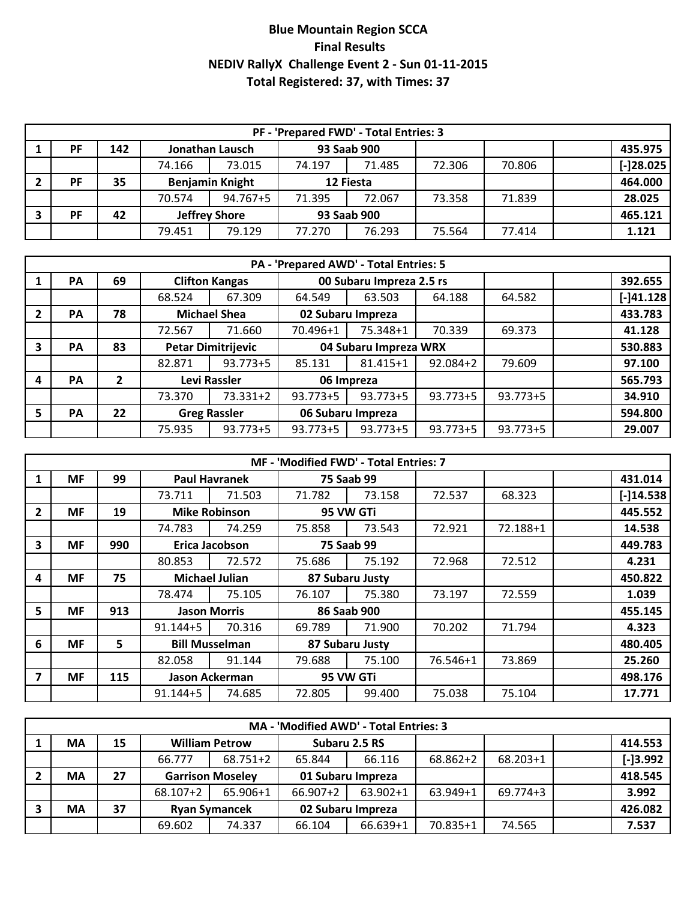## **Blue Mountain Region SCCA Final Results NEDIV RallyX Challenge Event 2 - Sun 01-11-2015 Total Registered: 37, with Times: 37**

| PF - 'Prepared FWD' - Total Entries: 3 |     |                        |          |             |        |        |        |             |  |  |  |  |  |
|----------------------------------------|-----|------------------------|----------|-------------|--------|--------|--------|-------------|--|--|--|--|--|
| PF                                     | 142 | Jonathan Lausch        |          | 93 Saab 900 |        |        |        | 435.975     |  |  |  |  |  |
|                                        |     | 74.166                 | 73.015   | 74.197      | 71.485 | 72.306 | 70.806 | $[-]28.025$ |  |  |  |  |  |
| <b>PF</b>                              | 35  | <b>Benjamin Knight</b> |          | 12 Fiesta   |        |        |        | 464.000     |  |  |  |  |  |
|                                        |     | 70.574                 | 94.767+5 | 71.395      | 72.067 | 73.358 | 71.839 | 28.025      |  |  |  |  |  |
| <b>PF</b>                              | 42  | <b>Jeffrey Shore</b>   |          | 93 Saab 900 |        |        |        | 465.121     |  |  |  |  |  |
|                                        |     | 79.451                 | 79.129   | 77.270      | 76.293 | 75.564 | 77.414 | 1.121       |  |  |  |  |  |

|                | PA - 'Prepared AWD' - Total Entries: 5 |    |                           |                                                   |                       |                   |              |              |  |             |  |  |  |  |
|----------------|----------------------------------------|----|---------------------------|---------------------------------------------------|-----------------------|-------------------|--------------|--------------|--|-------------|--|--|--|--|
|                | <b>PA</b>                              | 69 |                           | 00 Subaru Impreza 2.5 rs<br><b>Clifton Kangas</b> |                       |                   |              |              |  | 392.655     |  |  |  |  |
|                |                                        |    | 68.524                    | 67.309                                            | 64.549                | 63.503<br>64.188  |              |              |  | $[-]41.128$ |  |  |  |  |
| $\overline{2}$ | PА                                     | 78 |                           | <b>Michael Shea</b>                               |                       | 02 Subaru Impreza |              |              |  | 433.783     |  |  |  |  |
|                |                                        |    | 72.567                    | 71.660                                            | 70.496+1              | 75.348+1          | 70.339       | 69.373       |  | 41.128      |  |  |  |  |
| 3              | <b>PA</b>                              | 83 | <b>Petar Dimitrijevic</b> |                                                   | 04 Subaru Impreza WRX |                   |              |              |  | 530.883     |  |  |  |  |
|                |                                        |    | 82.871                    | $93.773 + 5$                                      | 85.131                | $81.415 + 1$      | $92.084 + 2$ | 79.609       |  | 97.100      |  |  |  |  |
| 4              | <b>PA</b>                              | 2  |                           | Levi Rassler                                      |                       | 06 Impreza        |              |              |  | 565.793     |  |  |  |  |
|                |                                        |    | 73.370                    | 73.331+2                                          | 93.773+5              | $93.773 + 5$      | $93.773 + 5$ | $93.773 + 5$ |  | 34.910      |  |  |  |  |
| 5              | <b>PA</b>                              | 22 |                           | <b>Greg Rassler</b>                               | 06 Subaru Impreza     |                   |              |              |  | 594.800     |  |  |  |  |
|                |                                        |    | 75.935                    | $93.773 + 5$                                      | 93.773+5              | $93.773 + 5$      | $93.773 + 5$ | $93.773 + 5$ |  | 29.007      |  |  |  |  |

|   |           |     |              |                       | MF - 'Modified FWD' - Total Entries: 7 |                 |          |          |             |
|---|-----------|-----|--------------|-----------------------|----------------------------------------|-----------------|----------|----------|-------------|
|   | <b>MF</b> | 99  |              | <b>Paul Havranek</b>  |                                        | 75 Saab 99      |          |          | 431.014     |
|   |           |     | 73.711       | 71.503                | 71.782                                 | 73.158          | 72.537   | 68.323   | $[-]14.538$ |
| 2 | <b>MF</b> | 19  |              | <b>Mike Robinson</b>  |                                        | 95 VW GTi       |          |          | 445.552     |
|   |           |     | 74.783       | 74.259                | 75.858                                 | 73.543          | 72.921   | 72.188+1 | 14.538      |
| 3 | <b>MF</b> | 990 |              | Erica Jacobson        |                                        | 75 Saab 99      |          |          | 449.783     |
|   |           |     | 80.853       | 72.572                | 75.686                                 | 75.192          | 72.968   | 72.512   | 4.231       |
| 4 | <b>MF</b> | 75  |              | <b>Michael Julian</b> | 87 Subaru Justy                        |                 |          |          | 450.822     |
|   |           |     | 78.474       | 75.105                | 76.107                                 | 75.380          | 73.197   | 72.559   | 1.039       |
| 5 | <b>MF</b> | 913 |              | <b>Jason Morris</b>   |                                        | 86 Saab 900     |          |          | 455.145     |
|   |           |     | $91.144 + 5$ | 70.316                | 69.789                                 | 71.900          | 70.202   | 71.794   | 4.323       |
| 6 | <b>MF</b> | 5.  |              | <b>Bill Musselman</b> |                                        | 87 Subaru Justy |          |          | 480.405     |
|   |           |     | 82.058       | 91.144                | 79.688                                 | 75.100          | 76.546+1 | 73.869   | 25.260      |
| 7 | <b>MF</b> | 115 |              | Jason Ackerman        |                                        | 95 VW GTi       |          |          | 498.176     |
|   |           |     | $91.144 + 5$ | 74.685                | 72.805                                 | 99.400          | 75.038   | 75.104   | 17.771      |

| MA - 'Modified AWD' - Total Entries: 3 |    |                         |              |                   |              |              |              |  |            |  |  |  |  |
|----------------------------------------|----|-------------------------|--------------|-------------------|--------------|--------------|--------------|--|------------|--|--|--|--|
| <b>MA</b>                              | 15 | <b>William Petrow</b>   |              | Subaru 2.5 RS     |              |              |              |  | 414.553    |  |  |  |  |
|                                        |    | 66.777                  | $68.751 + 2$ | 66.116<br>65.844  |              | $68.862 + 2$ | $68.203 + 1$ |  | $[-]3.992$ |  |  |  |  |
| <b>MA</b>                              | 27 | <b>Garrison Moseley</b> |              | 01 Subaru Impreza |              |              |              |  | 418.545    |  |  |  |  |
|                                        |    | 68.107+2                | 65.906+1     | 66.907+2          | $63.902 + 1$ | $63.949 + 1$ | $69.774 + 3$ |  | 3.992      |  |  |  |  |
| <b>MA</b>                              | 37 | <b>Ryan Symancek</b>    |              | 02 Subaru Impreza |              |              |              |  | 426.082    |  |  |  |  |
|                                        |    | 69.602                  | 74.337       | 66.104            | 66.639+1     | 70.835+1     | 74.565       |  | 7.537      |  |  |  |  |